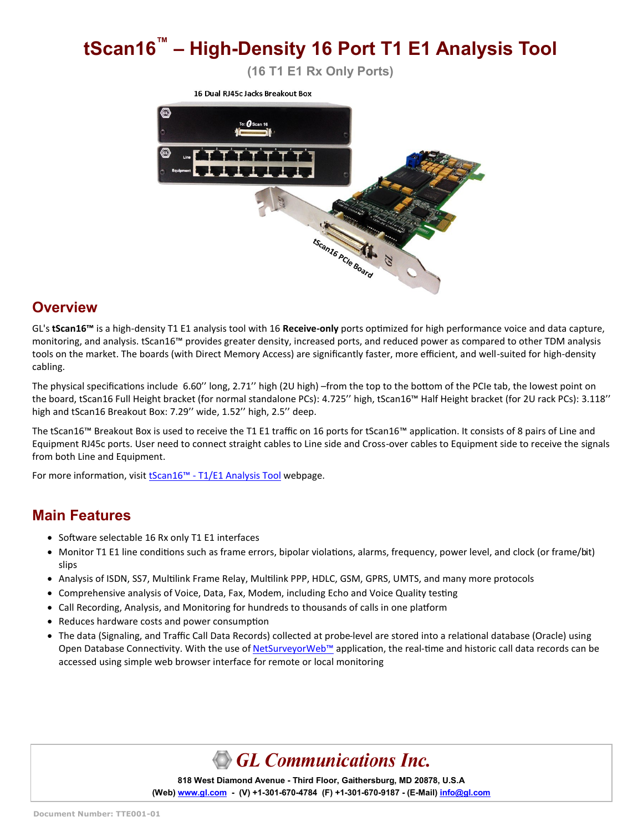# **tScan16™ – High-Density 16 Port T1 E1 Analysis Tool**

**(16 T1 E1 Rx Only Ports)**



#### **Overview**

GL's **tScan16™** is a high-density T1 E1 analysis tool with 16 **Receive-only** ports optimized for high performance voice and data capture, monitoring, and analysis. tScan16™ provides greater density, increased ports, and reduced power as compared to other TDM analysis tools on the market. The boards (with Direct Memory Access) are significantly faster, more efficient, and well-suited for high-density cabling.

The physical specifications include 6.60'' long, 2.71'' high (2U high) –from the top to the bottom of the PCIe tab, the lowest point on the board, tScan16 Full Height bracket (for normal standalone PCs): 4.725'' high, tScan16™ Half Height bracket (for 2U rack PCs): 3.118'' high and tScan16 Breakout Box: 7.29'' wide, 1.52'' high, 2.5'' deep.

The tScan16™ Breakout Box is used to receive the T1 E1 traffic on 16 ports for tScan16™ application. It consists of 8 pairs of Line and Equipment RJ45c ports. User need to connect straight cables to Line side and Cross-over cables to Equipment side to receive the signals from both Line and Equipment.

For more information, visit tScan16™ - [T1/E1 Analysis Tool](https://www.gl.com/16-port-t1-e1-analysis-pcie-card-tscan16.html) webpage.

#### **Main Features**

- Software selectable 16 Rx only T1 E1 interfaces
- Monitor T1 E1 line conditions such as frame errors, bipolar violations, alarms, frequency, power level, and clock (or frame/bit) slips
- Analysis of ISDN, SS7, Multilink Frame Relay, Multilink PPP, HDLC, GSM, GPRS, UMTS, and many more protocols
- Comprehensive analysis of Voice, Data, Fax, Modem, including Echo and Voice Quality testing
- Call Recording, Analysis, and Monitoring for hundreds to thousands of calls in one platform
- Reduces hardware costs and power consumption
- The data (Signaling, and Traffic Call Data Records) collected at probe-level are stored into a relational database (Oracle) using Open Database Connectivity. With the use of [NetSurveyorWeb](https://www.gl.com/web-based-network-monitor-analysis-wireless-ip-tdm.html)™ application, the real-time and historic call data records can be accessed using simple web browser interface for remote or local monitoring

# GL Communications Inc.

**818 West Diamond Avenue - Third Floor, Gaithersburg, MD 20878, U.S.A** (Web) [www.gl.com](https://www.gl.com) - (V) +1-301-670-4784 (F) +1-301-670-9187 - (E-Mail) [info@gl.com](https://www.gl.com/inforequestform.php)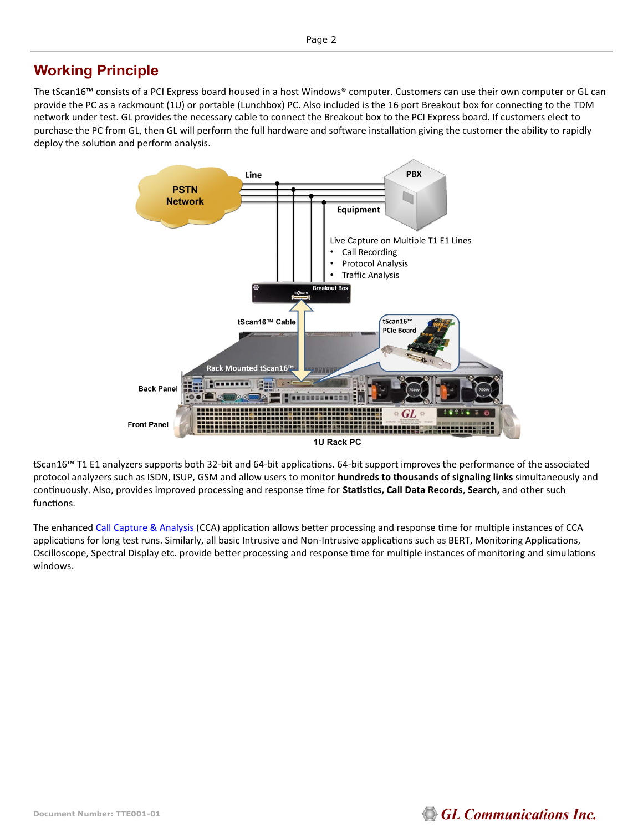### **Working Principle**

The tScan16™ consists of a PCI Express board housed in a host Windows® computer. Customers can use their own computer or GL can provide the PC as a rackmount (1U) or portable (Lunchbox) PC. Also included is the 16 port Breakout box for connecting to the TDM network under test. GL provides the necessary cable to connect the Breakout box to the PCI Express board. If customers elect to purchase the PC from GL, then GL will perform the full hardware and software installation giving the customer the ability to rapidly deploy the solution and perform analysis.



tScan16™ T1 E1 analyzers supports both 32-bit and 64-bit applications. 64-bit support improves the performance of the associated protocol analyzers such as ISDN, ISUP, GSM and allow users to monitor **hundreds to thousands of signaling links** simultaneously and continuously. Also, provides improved processing and response time for **Statistics, Call Data Records**, **Search,** and other such functions.

The enhanced [Call Capture & Analysis](https://www.gl.com/call-capture-and-analysis-over-t1e1.html) (CCA) application allows better processing and response time for multiple instances of CCA applications for long test runs. Similarly, all basic Intrusive and Non-Intrusive applications such as BERT, Monitoring Applications, Oscilloscope, Spectral Display etc. provide better processing and response time for multiple instances of monitoring and simulations windows.

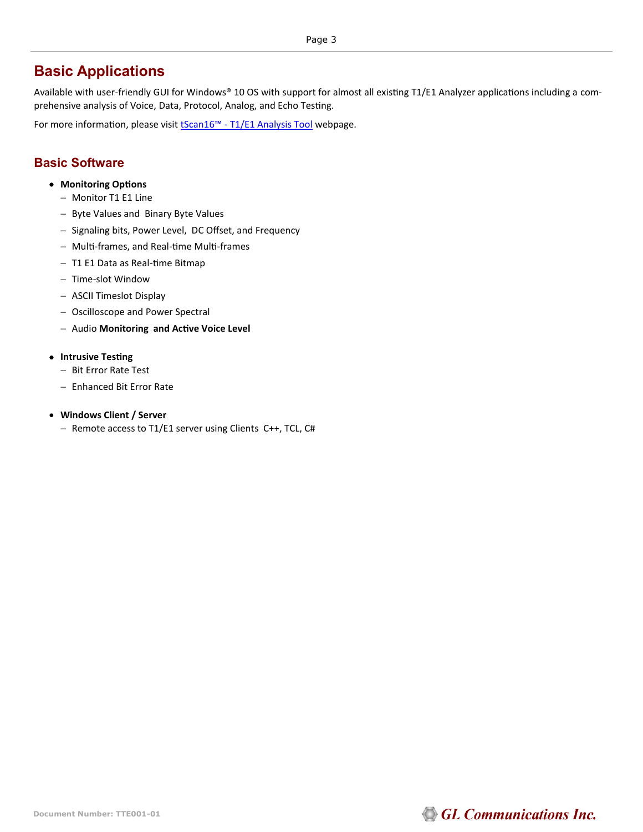#### **Basic Applications**

Available with user-friendly GUI for Windows® 10 OS with support for almost all existing T1/E1 Analyzer applications including a comprehensive analysis of Voice, Data, Protocol, Analog, and Echo Testing.

For more information, please visit **[tScan16](https://www.gl.com/16-port-t1-e1-analysis-pcie-card-tscan16.html#rx-applications)™** - T1/E1 Analysis Tool webpage.

#### **Basic Software**

- **Monitoring Options**
	- − Monitor T1 E1 Line
	- − Byte Values and Binary Byte Values
	- − Signaling bits, Power Level, DC Offset, and Frequency
	- − Multi-frames, and Real-time Multi-frames
	- − T1 E1 Data as Real-time Bitmap
	- − Time-slot Window
	- − ASCII Timeslot Display
	- − Oscilloscope and Power Spectral
	- − Audio **Monitoring and Active Voice Level**

#### • **Intrusive Testing**

- − Bit Error Rate Test
- − Enhanced Bit Error Rate
- **Windows Client / Server**
	- − Remote access to T1/E1 server using Clients C++, TCL, C#

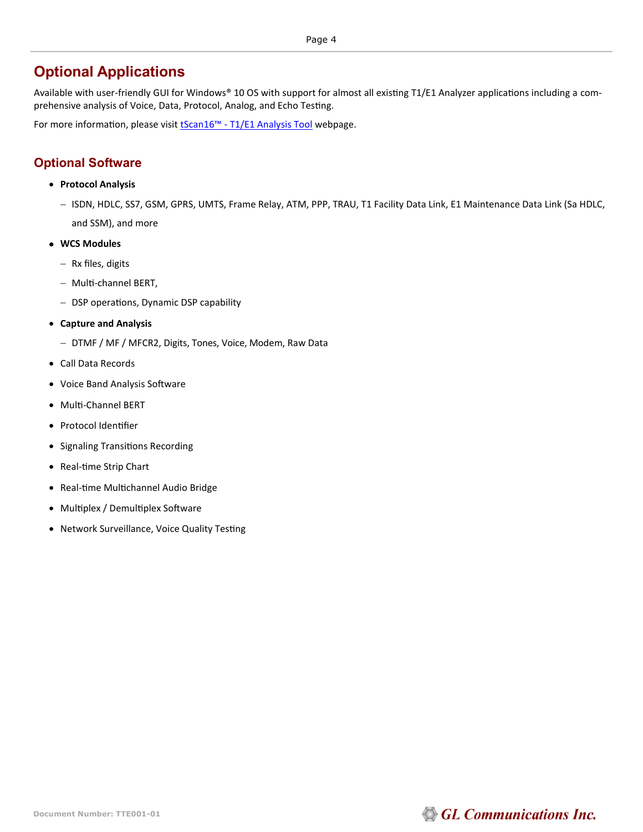#### **Optional Applications**

Available with user-friendly GUI for Windows® 10 OS with support for almost all existing T1/E1 Analyzer applications including a comprehensive analysis of Voice, Data, Protocol, Analog, and Echo Testing.

For more information, please visit **[tScan16](https://www.gl.com/16-port-t1-e1-analysis-pcie-card-tscan16.html#rx-applications)™** - T1/E1 Analysis Tool webpage.

#### **Optional Software**

- **Protocol Analysis**
	- − ISDN, HDLC, SS7, GSM, GPRS, UMTS, Frame Relay, ATM, PPP, TRAU, T1 Facility Data Link, E1 Maintenance Data Link (Sa HDLC, and SSM), and more
- **WCS Modules**
	- − Rx files, digits
	- − Multi-channel BERT,
	- − DSP operations, Dynamic DSP capability
- **Capture and Analysis**
	- − DTMF / MF / MFCR2, Digits, Tones, Voice, Modem, Raw Data
- Call Data Records
- Voice Band Analysis Software
- Multi-Channel BERT
- Protocol Identifier
- Signaling Transitions Recording
- Real-time Strip Chart
- Real-time Multichannel Audio Bridge
- Multiplex / Demultiplex Software
- Network Surveillance, Voice Quality Testing

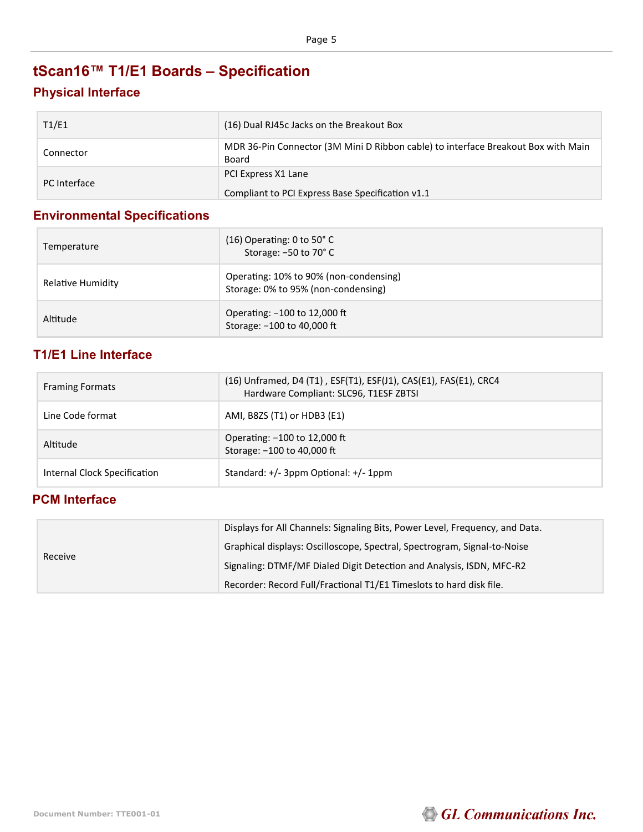# **tScan16™ T1/E1 Boards – Specification**

#### **Physical Interface**

| T1/E1        | (16) Dual RJ45c Jacks on the Breakout Box                                                  |
|--------------|--------------------------------------------------------------------------------------------|
| Connector    | MDR 36-Pin Connector (3M Mini D Ribbon cable) to interface Breakout Box with Main<br>Board |
| PC Interface | PCI Express X1 Lane<br>Compliant to PCI Express Base Specification v1.1                    |

#### **Environmental Specifications**

| Temperature       | $(16)$ Operating: 0 to 50 $^{\circ}$ C<br>Storage: -50 to 70° C               |
|-------------------|-------------------------------------------------------------------------------|
| Relative Humidity | Operating: 10% to 90% (non-condensing)<br>Storage: 0% to 95% (non-condensing) |
| Altitude          | Operating: -100 to 12,000 ft<br>Storage: -100 to 40,000 ft                    |

#### **T1/E1 Line Interface**

| <b>Framing Formats</b>       | (16) Unframed, D4 (T1), ESF(T1), ESF(J1), CAS(E1), FAS(E1), CRC4<br>Hardware Compliant: SLC96, T1ESF ZBTSI |
|------------------------------|------------------------------------------------------------------------------------------------------------|
| Line Code format             | AMI, B8ZS (T1) or HDB3 (E1)                                                                                |
| Altitude                     | Operating: -100 to 12,000 ft<br>Storage: -100 to 40,000 ft                                                 |
| Internal Clock Specification | Standard: $+/-$ 3ppm Optional: $+/-$ 1ppm                                                                  |

#### **PCM Interface**

| Receive | Displays for All Channels: Signaling Bits, Power Level, Frequency, and Data. |                                                                          |
|---------|------------------------------------------------------------------------------|--------------------------------------------------------------------------|
|         |                                                                              | Graphical displays: Oscilloscope, Spectral, Spectrogram, Signal-to-Noise |
|         |                                                                              | Signaling: DTMF/MF Dialed Digit Detection and Analysis, ISDN, MFC-R2     |
|         |                                                                              | Recorder: Record Full/Fractional T1/E1 Timeslots to hard disk file.      |

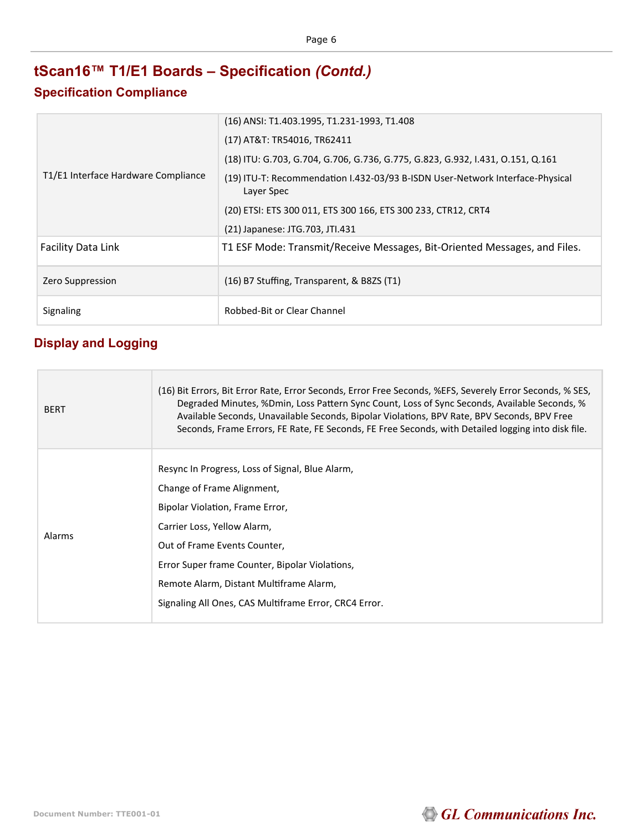## **tScan16™ T1/E1 Boards – Specification** *(Contd.)*

#### **Specification Compliance**

|                                     | (16) ANSI: T1.403.1995, T1.231-1993, T1.408                                                 |
|-------------------------------------|---------------------------------------------------------------------------------------------|
|                                     | (17) AT&T: TR54016, TR62411                                                                 |
|                                     | (18) ITU: G.703, G.704, G.706, G.736, G.775, G.823, G.932, I.431, O.151, Q.161              |
| T1/E1 Interface Hardware Compliance | (19) ITU-T: Recommendation I.432-03/93 B-ISDN User-Network Interface-Physical<br>Layer Spec |
|                                     | (20) ETSI: ETS 300 011, ETS 300 166, ETS 300 233, CTR12, CRT4                               |
|                                     | (21) Japanese: JTG.703, JTI.431                                                             |
| <b>Facility Data Link</b>           | T1 ESF Mode: Transmit/Receive Messages, Bit-Oriented Messages, and Files.                   |
| Zero Suppression                    | (16) B7 Stuffing, Transparent, & B8ZS (T1)                                                  |
| Signaling                           | Robbed-Bit or Clear Channel                                                                 |

#### **Display and Logging**

П

| <b>BERT</b> | (16) Bit Errors, Bit Error Rate, Error Seconds, Error Free Seconds, %EFS, Severely Error Seconds, % SES,<br>Degraded Minutes, %Dmin, Loss Pattern Sync Count, Loss of Sync Seconds, Available Seconds, %<br>Available Seconds, Unavailable Seconds, Bipolar Violations, BPV Rate, BPV Seconds, BPV Free<br>Seconds, Frame Errors, FE Rate, FE Seconds, FE Free Seconds, with Detailed logging into disk file. |
|-------------|---------------------------------------------------------------------------------------------------------------------------------------------------------------------------------------------------------------------------------------------------------------------------------------------------------------------------------------------------------------------------------------------------------------|
| Alarms      | Resync In Progress, Loss of Signal, Blue Alarm,<br>Change of Frame Alignment,<br>Bipolar Violation, Frame Error,<br>Carrier Loss, Yellow Alarm,<br>Out of Frame Events Counter,<br>Error Super frame Counter, Bipolar Violations,<br>Remote Alarm, Distant Multiframe Alarm,<br>Signaling All Ones, CAS Multiframe Error, CRC4 Error.                                                                         |

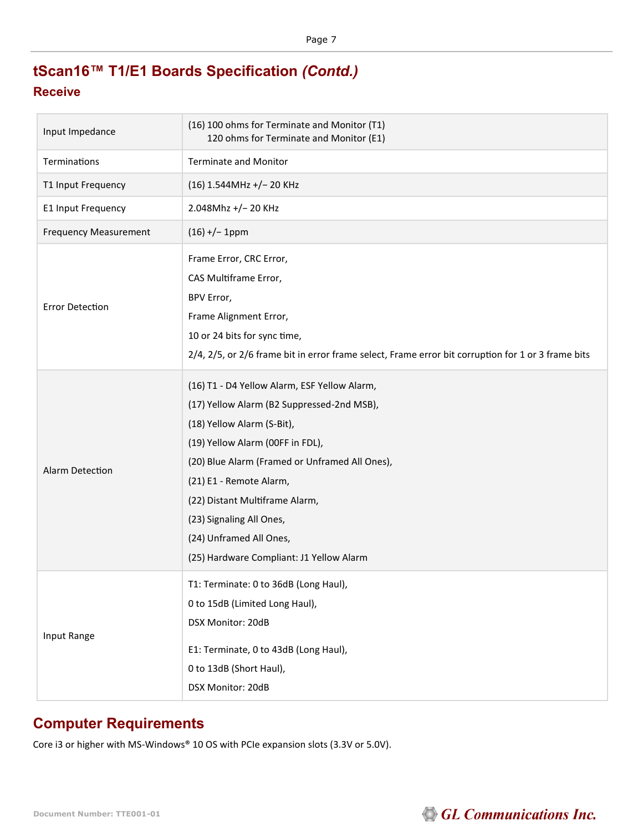## **tScan16™ T1/E1 Boards Specification** *(Contd.)*

#### **Receive**

| Input Impedance              | (16) 100 ohms for Terminate and Monitor (T1)<br>120 ohms for Terminate and Monitor (E1)                                                                                                                                                                                                                                                                                        |
|------------------------------|--------------------------------------------------------------------------------------------------------------------------------------------------------------------------------------------------------------------------------------------------------------------------------------------------------------------------------------------------------------------------------|
| Terminations                 | <b>Terminate and Monitor</b>                                                                                                                                                                                                                                                                                                                                                   |
| T1 Input Frequency           | (16) 1.544MHz +/-20 KHz                                                                                                                                                                                                                                                                                                                                                        |
| E1 Input Frequency           | 2.048Mhz +/-20 KHz                                                                                                                                                                                                                                                                                                                                                             |
| <b>Frequency Measurement</b> | $(16)$ +/- 1ppm                                                                                                                                                                                                                                                                                                                                                                |
| <b>Error Detection</b>       | Frame Error, CRC Error,<br>CAS Multiframe Error,<br>BPV Error,<br>Frame Alignment Error,<br>10 or 24 bits for sync time,<br>2/4, 2/5, or 2/6 frame bit in error frame select, Frame error bit corruption for 1 or 3 frame bits                                                                                                                                                 |
| Alarm Detection              | (16) T1 - D4 Yellow Alarm, ESF Yellow Alarm,<br>(17) Yellow Alarm (B2 Suppressed-2nd MSB),<br>(18) Yellow Alarm (S-Bit),<br>(19) Yellow Alarm (00FF in FDL),<br>(20) Blue Alarm (Framed or Unframed All Ones),<br>(21) E1 - Remote Alarm,<br>(22) Distant Multiframe Alarm,<br>(23) Signaling All Ones,<br>(24) Unframed All Ones,<br>(25) Hardware Compliant: J1 Yellow Alarm |
| Input Range                  | T1: Terminate: 0 to 36dB (Long Haul),<br>0 to 15dB (Limited Long Haul),<br>DSX Monitor: 20dB<br>E1: Terminate, 0 to 43dB (Long Haul),<br>0 to 13dB (Short Haul),<br>DSX Monitor: 20dB                                                                                                                                                                                          |

#### **Computer Requirements**

Core i3 or higher with MS-Windows® 10 OS with PCIe expansion slots (3.3V or 5.0V).